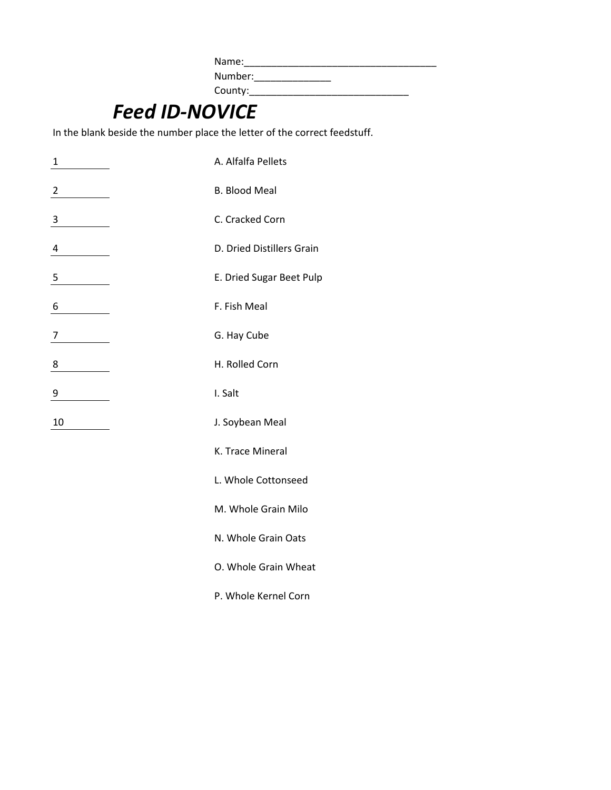Name:\_\_\_\_\_\_\_\_\_\_\_\_\_\_\_\_\_\_\_\_\_\_\_\_\_\_\_\_\_\_\_\_\_\_\_ Number:\_\_\_\_\_\_\_\_\_\_\_\_\_\_ County:\_\_\_\_\_\_\_\_\_\_\_\_\_\_\_\_\_\_\_\_\_\_\_\_\_\_\_\_\_

## *Feed ID-NOVICE*

In the blank beside the number place the letter of the correct feedstuff.

| 1              |                 | A. Alfalfa Pellets        |
|----------------|-----------------|---------------------------|
| $\overline{2}$ |                 | <b>B. Blood Meal</b>      |
| 3              |                 | C. Cracked Corn           |
| 4              |                 | D. Dried Distillers Grain |
| 5              |                 | E. Dried Sugar Beet Pulp  |
| 6              |                 | F. Fish Meal              |
| 7              |                 | G. Hay Cube               |
| 8              |                 | H. Rolled Corn            |
| 9              |                 | I. Salt                   |
| 10             | J. Soybean Meal |                           |
|                |                 | K. Trace Mineral          |
|                |                 | L. Whole Cottonseed       |
|                |                 | M. Whole Grain Milo       |
|                |                 | N. Whole Grain Oats       |

O. Whole Grain Wheat

P. Whole Kernel Corn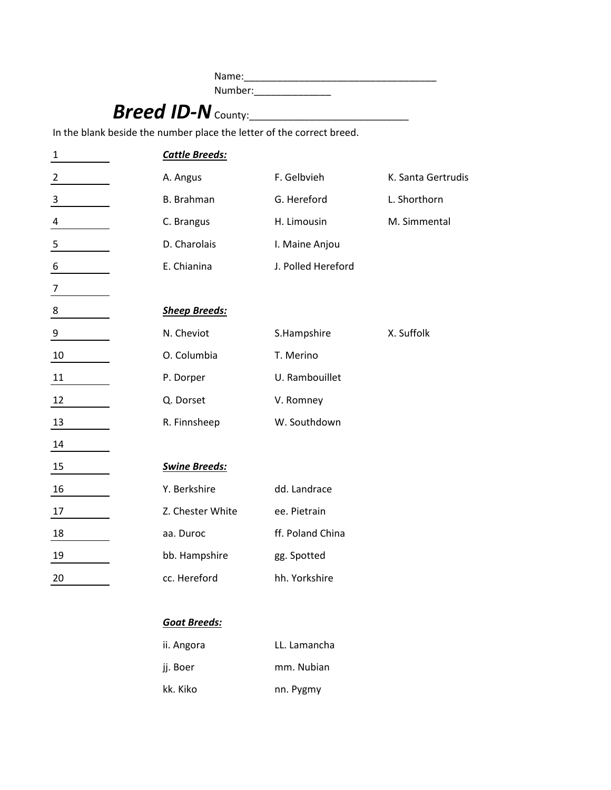Name:\_\_\_\_\_\_\_\_\_\_\_\_\_\_\_\_\_\_\_\_\_\_\_\_\_\_\_\_\_\_\_\_\_\_\_ Number:\_\_\_\_\_\_\_\_\_\_\_\_\_\_ *Breed ID-NOVICE* County:\_\_\_\_\_\_\_\_\_\_\_\_\_\_\_\_\_\_\_\_\_\_\_\_\_\_\_\_\_ In the blank beside the number place the letter of the correct breed. 1 *Cattle Breeds:* 2 A. Angus F. Gelbvieh K. Santa Gertrudis 3 and B. Brahman G. Hereford L. Shorthorn 4 C. Brangus H. Limousin M. Simmental 5 **D. Charolais** I. Maine Anjou 6 E. Chianina J. Polled Hereford 7 8 *Sheep Breeds:* 9 N. Cheviot S. Hampshire X. Suffolk 10 O. Columbia T. Merino 11 P. Dorper U. Rambouillet 12 Q. Dorset V. Romney 13 R. Finnsheep W. Southdown 14 15 *Swine Breeds:* 16 Y. Berkshire dd. Landrace 17 Z. Chester White ee. Pietrain 18 aa. Duroc ff. Poland China 19 bb. Hampshire gg. Spotted 20 cc. Hereford hh. Yorkshire

## *Goat Breeds:*

| ii. Angora | LL. Lamancha |
|------------|--------------|
| ii. Boer   | mm. Nubian   |
| kk. Kiko   | nn. Pygmy    |